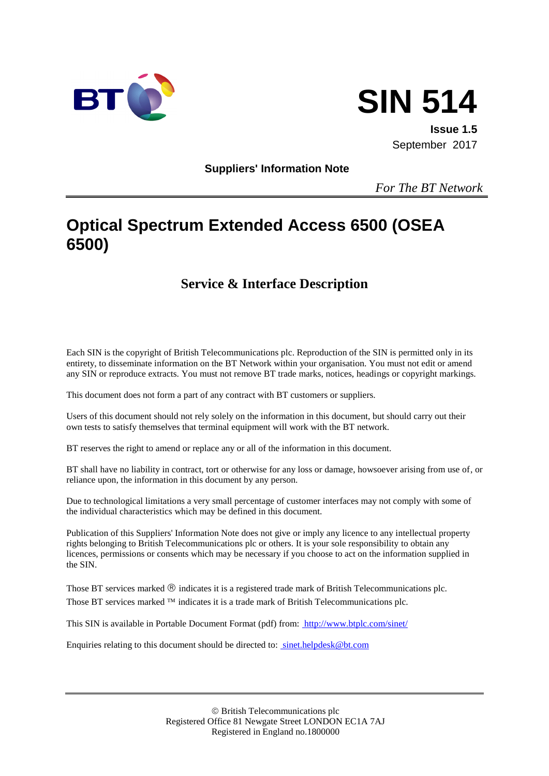



**Issue 1.5** September 2017

**Suppliers' Information Note**

*For The BT Network*

# **Optical Spectrum Extended Access 6500 (OSEA 6500)**

## **Service & Interface Description**

Each SIN is the copyright of British Telecommunications plc. Reproduction of the SIN is permitted only in its entirety, to disseminate information on the BT Network within your organisation. You must not edit or amend any SIN or reproduce extracts. You must not remove BT trade marks, notices, headings or copyright markings.

This document does not form a part of any contract with BT customers or suppliers.

Users of this document should not rely solely on the information in this document, but should carry out their own tests to satisfy themselves that terminal equipment will work with the BT network.

BT reserves the right to amend or replace any or all of the information in this document.

BT shall have no liability in contract, tort or otherwise for any loss or damage, howsoever arising from use of, or reliance upon, the information in this document by any person.

Due to technological limitations a very small percentage of customer interfaces may not comply with some of the individual characteristics which may be defined in this document.

Publication of this Suppliers' Information Note does not give or imply any licence to any intellectual property rights belonging to British Telecommunications plc or others. It is your sole responsibility to obtain any licences, permissions or consents which may be necessary if you choose to act on the information supplied in the SIN.

Those BT services marked  $\mathcal{R}$  indicates it is a registered trade mark of British Telecommunications plc. Those BT services marked  $TM$  indicates it is a trade mark of British Telecommunications plc.

This SIN is available in Portable Document Format (pdf) from: http://www.btplc.com/sinet/

Enquiries relating to this document should be directed to: sinet.helpdesk@bt.com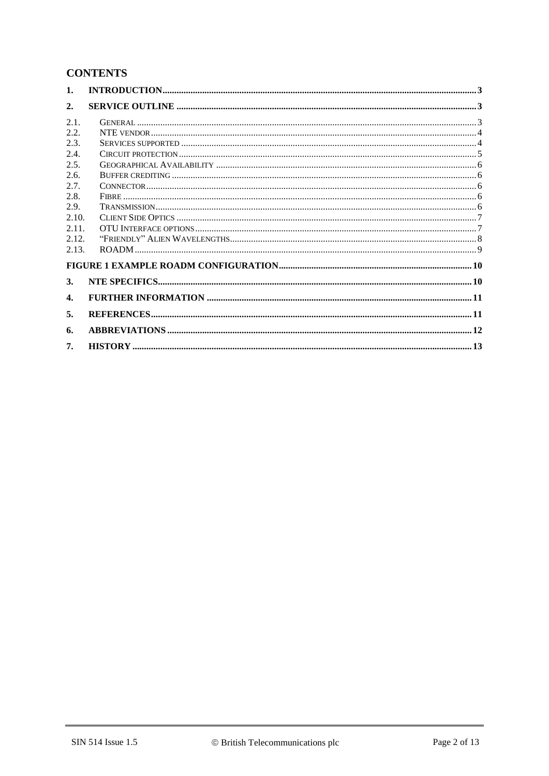### **CONTENTS**

| 1.               |  |
|------------------|--|
| $\overline{2}$ . |  |
| 2.1.             |  |
| 2.2.             |  |
| 2.3.             |  |
| 2.4.             |  |
| 2.5.             |  |
| 2.6.             |  |
| 2.7.             |  |
| 2.8.             |  |
| 2.9.             |  |
| 2.10.            |  |
| 2.11.            |  |
| 2.12.            |  |
| 2.13.            |  |
|                  |  |
| 3.               |  |
| 4.               |  |
| 5.               |  |
| 6.               |  |
| 7.               |  |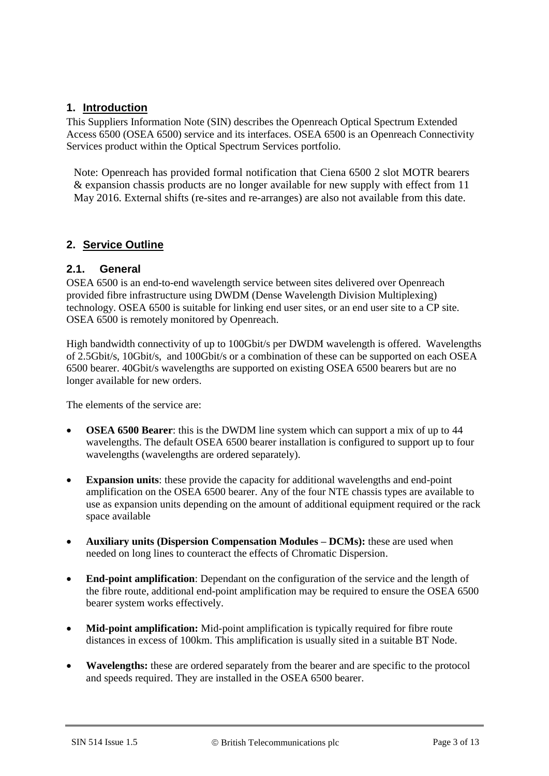#### **1. Introduction**

This Suppliers Information Note (SIN) describes the Openreach Optical Spectrum Extended Access 6500 (OSEA 6500) service and its interfaces. OSEA 6500 is an Openreach Connectivity Services product within the Optical Spectrum Services portfolio.

Note: Openreach has provided formal notification that Ciena 6500 2 slot MOTR bearers & expansion chassis products are no longer available for new supply with effect from 11 May 2016. External shifts (re-sites and re-arranges) are also not available from this date.

#### **2. Service Outline**

#### **2.1. General**

OSEA 6500 is an end-to-end wavelength service between sites delivered over Openreach provided fibre infrastructure using DWDM (Dense Wavelength Division Multiplexing) technology. OSEA 6500 is suitable for linking end user sites, or an end user site to a CP site. OSEA 6500 is remotely monitored by Openreach.

High bandwidth connectivity of up to 100Gbit/s per DWDM wavelength is offered. Wavelengths of 2.5Gbit/s, 10Gbit/s, and 100Gbit/s or a combination of these can be supported on each OSEA 6500 bearer. 40Gbit/s wavelengths are supported on existing OSEA 6500 bearers but are no longer available for new orders.

The elements of the service are:

- **OSEA 6500 Bearer**: this is the DWDM line system which can support a mix of up to 44 wavelengths. The default OSEA 6500 bearer installation is configured to support up to four wavelengths (wavelengths are ordered separately).
- **Expansion units**: these provide the capacity for additional wavelengths and end-point amplification on the OSEA 6500 bearer. Any of the four NTE chassis types are available to use as expansion units depending on the amount of additional equipment required or the rack space available
- **Auxiliary units (Dispersion Compensation Modules – DCMs):** these are used when needed on long lines to counteract the effects of Chromatic Dispersion.
- **End-point amplification**: Dependant on the configuration of the service and the length of the fibre route, additional end-point amplification may be required to ensure the OSEA 6500 bearer system works effectively.
- Mid-point amplification: Mid-point amplification is typically required for fibre route distances in excess of 100km. This amplification is usually sited in a suitable BT Node.
- **Wavelengths:** these are ordered separately from the bearer and are specific to the protocol and speeds required. They are installed in the OSEA 6500 bearer.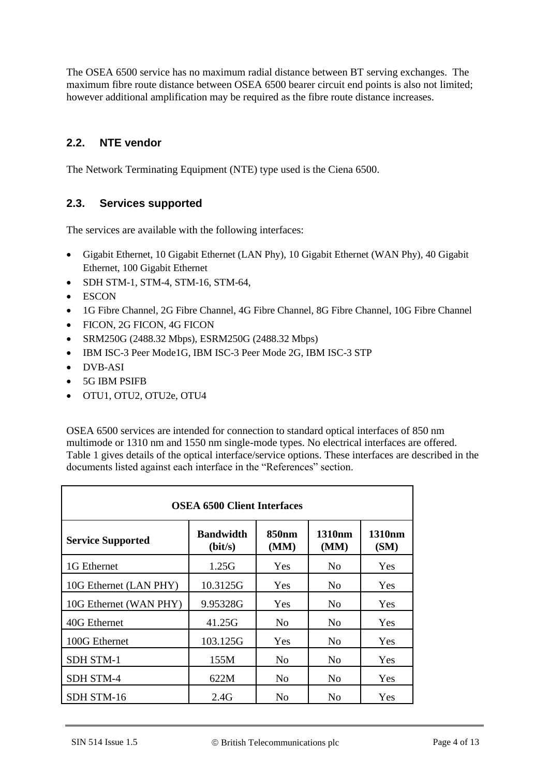The OSEA 6500 service has no maximum radial distance between BT serving exchanges. The maximum fibre route distance between OSEA 6500 bearer circuit end points is also not limited; however additional amplification may be required as the fibre route distance increases.

#### **2.2. NTE vendor**

The Network Terminating Equipment (NTE) type used is the Ciena 6500.

#### **2.3. Services supported**

The services are available with the following interfaces:

- Gigabit Ethernet, 10 Gigabit Ethernet (LAN Phy), 10 Gigabit Ethernet (WAN Phy), 40 Gigabit Ethernet, 100 Gigabit Ethernet
- SDH STM-1, STM-4, STM-16, STM-64,
- ESCON
- 1G Fibre Channel, 2G Fibre Channel, 4G Fibre Channel, 8G Fibre Channel, 10G Fibre Channel
- FICON, 2G FICON, 4G FICON
- SRM250G (2488.32 Mbps), ESRM250G (2488.32 Mbps)
- IBM ISC-3 Peer Mode1G, IBM ISC-3 Peer Mode 2G, IBM ISC-3 STP
- DVB-ASI
- 5G IBM PSIFB
- OTU1, OTU2, OTU2e, OTU4

OSEA 6500 services are intended for connection to standard optical interfaces of 850 nm multimode or 1310 nm and 1550 nm single-mode types. No electrical interfaces are offered. Table 1 gives details of the optical interface/service options. These interfaces are described in the documents listed against each interface in the "References" section.

| <b>OSEA 6500 Client Interfaces</b> |                             |                           |                            |                            |
|------------------------------------|-----------------------------|---------------------------|----------------------------|----------------------------|
| <b>Service Supported</b>           | <b>Bandwidth</b><br>(bit/s) | 850 <sub>nm</sub><br>(MM) | 1310 <sub>nm</sub><br>(MM) | 1310 <sub>nm</sub><br>(SM) |
| 1G Ethernet                        | 1.25G                       | Yes                       | N <sub>0</sub>             | <b>Yes</b>                 |
| 10G Ethernet (LAN PHY)             | 10.3125G                    | Yes                       | N <sub>0</sub>             | Yes.                       |
| 10G Ethernet (WAN PHY)             | 9.95328G                    | Yes                       | N <sub>0</sub>             | Yes                        |
| 40G Ethernet                       | 41.25G                      | No                        | N <sub>0</sub>             | <b>Yes</b>                 |
| 100G Ethernet                      | 103.125G                    | Yes                       | N <sub>0</sub>             | Yes                        |
| <b>SDH STM-1</b>                   | 155M                        | No                        | N <sub>o</sub>             | Yes                        |
| <b>SDH STM-4</b>                   | 622M                        | No                        | N <sub>0</sub>             | Yes                        |
| SDH STM-16                         | 2.4G                        | N <sub>0</sub>            | N <sub>0</sub>             | <b>Yes</b>                 |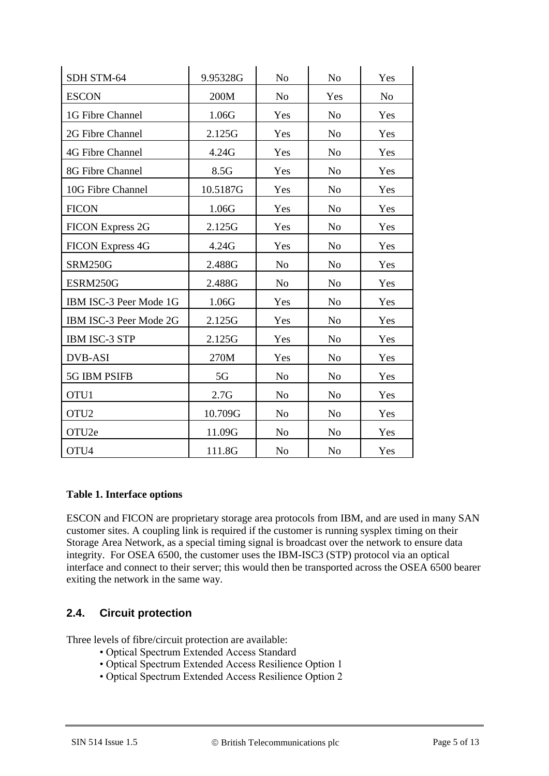| SDH STM-64              | 9.95328G | No             | N <sub>o</sub> | Yes            |
|-------------------------|----------|----------------|----------------|----------------|
| <b>ESCON</b>            | 200M     | N <sub>o</sub> | Yes            | N <sub>o</sub> |
| 1G Fibre Channel        | 1.06G    | Yes            | N <sub>o</sub> | Yes            |
| 2G Fibre Channel        | 2.125G   | Yes            | N <sub>o</sub> | Yes            |
| 4G Fibre Channel        | 4.24G    | Yes            | N <sub>o</sub> | Yes            |
| 8G Fibre Channel        | 8.5G     | Yes            | N <sub>0</sub> | Yes            |
| 10G Fibre Channel       | 10.5187G | Yes            | N <sub>o</sub> | Yes            |
| <b>FICON</b>            | 1.06G    | Yes            | N <sub>o</sub> | Yes            |
| <b>FICON Express 2G</b> | 2.125G   | Yes            | N <sub>o</sub> | Yes            |
| <b>FICON Express 4G</b> | 4.24G    | Yes            | N <sub>o</sub> | Yes            |
| <b>SRM250G</b>          | 2.488G   | N <sub>o</sub> | N <sub>o</sub> | Yes            |
| ESRM250G                | 2.488G   | N <sub>o</sub> | N <sub>o</sub> | Yes            |
| IBM ISC-3 Peer Mode 1G  | 1.06G    | Yes            | N <sub>o</sub> | Yes            |
| IBM ISC-3 Peer Mode 2G  | 2.125G   | Yes            | N <sub>o</sub> | Yes            |
| <b>IBM ISC-3 STP</b>    | 2.125G   | Yes            | N <sub>0</sub> | Yes            |
| <b>DVB-ASI</b>          | 270M     | Yes            | N <sub>o</sub> | Yes            |
| 5G IBM PSIFB            | 5G       | N <sub>o</sub> | N <sub>0</sub> | Yes            |
| OTU1                    | 2.7G     | N <sub>o</sub> | N <sub>0</sub> | Yes            |
| OTU <sub>2</sub>        | 10.709G  | N <sub>o</sub> | N <sub>o</sub> | Yes            |
| OTU2e                   | 11.09G   | N <sub>o</sub> | N <sub>o</sub> | Yes            |
| OTU4                    | 111.8G   | N <sub>o</sub> | N <sub>o</sub> | Yes            |

#### **Table 1. Interface options**

ESCON and FICON are proprietary storage area protocols from IBM, and are used in many SAN customer sites. A coupling link is required if the customer is running sysplex timing on their Storage Area Network, as a special timing signal is broadcast over the network to ensure data integrity. For OSEA 6500, the customer uses the IBM-ISC3 (STP) protocol via an optical interface and connect to their server; this would then be transported across the OSEA 6500 bearer exiting the network in the same way.

#### **2.4. Circuit protection**

Three levels of fibre/circuit protection are available:

- Optical Spectrum Extended Access Standard
- Optical Spectrum Extended Access Resilience Option 1
- Optical Spectrum Extended Access Resilience Option 2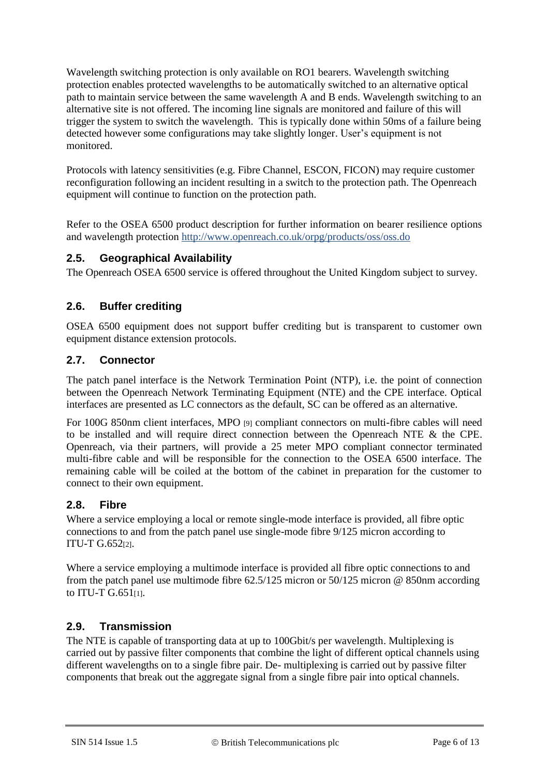Wavelength switching protection is only available on RO1 bearers. Wavelength switching protection enables protected wavelengths to be automatically switched to an alternative optical path to maintain service between the same wavelength A and B ends. Wavelength switching to an alternative site is not offered. The incoming line signals are monitored and failure of this will trigger the system to switch the wavelength. This is typically done within 50ms of a failure being detected however some configurations may take slightly longer. User's equipment is not monitored.

Protocols with latency sensitivities (e.g. Fibre Channel, ESCON, FICON) may require customer reconfiguration following an incident resulting in a switch to the protection path. The Openreach equipment will continue to function on the protection path.

Refer to the OSEA 6500 product description for further information on bearer resilience options and wavelength protection<http://www.openreach.co.uk/orpg/products/oss/oss.do>

#### **2.5. Geographical Availability**

The Openreach OSEA 6500 service is offered throughout the United Kingdom subject to survey.

#### **2.6. Buffer crediting**

OSEA 6500 equipment does not support buffer crediting but is transparent to customer own equipment distance extension protocols.

#### **2.7. Connector**

The patch panel interface is the Network Termination Point (NTP), i.e. the point of connection between the Openreach Network Terminating Equipment (NTE) and the CPE interface. Optical interfaces are presented as LC connectors as the default, SC can be offered as an alternative.

For 100G 850nm client interfaces, MPO [9] compliant connectors on multi-fibre cables will need to be installed and will require direct connection between the Openreach NTE & the CPE. Openreach, via their partners, will provide a 25 meter MPO compliant connector terminated multi-fibre cable and will be responsible for the connection to the OSEA 6500 interface. The remaining cable will be coiled at the bottom of the cabinet in preparation for the customer to connect to their own equipment.

#### **2.8. Fibre**

Where a service employing a local or remote single-mode interface is provided, all fibre optic connections to and from the patch panel use single-mode fibre 9/125 micron according to ITU-T G.652[2].

Where a service employing a multimode interface is provided all fibre optic connections to and from the patch panel use multimode fibre 62.5/125 micron or 50/125 micron @ 850nm according to ITU-T G.651[1].

#### **2.9. Transmission**

The NTE is capable of transporting data at up to 100Gbit/s per wavelength. Multiplexing is carried out by passive filter components that combine the light of different optical channels using different wavelengths on to a single fibre pair. De- multiplexing is carried out by passive filter components that break out the aggregate signal from a single fibre pair into optical channels.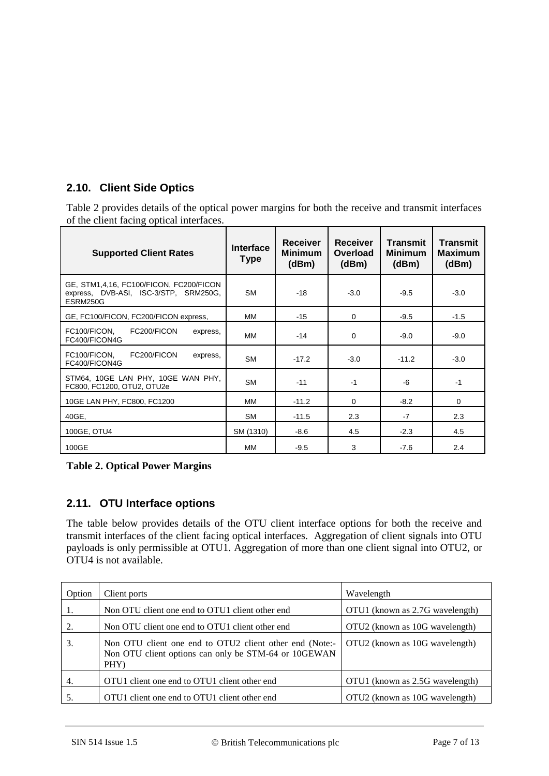### **2.10. Client Side Optics**

Table 2 provides details of the optical power margins for both the receive and transmit interfaces of the client facing optical interfaces.

| <b>Supported Client Rates</b>                                                                | Interface<br><b>Type</b> | <b>Receiver</b><br><b>Minimum</b><br>(dBm) | Receiver<br>Overload<br>(dBm) | Transmit<br>Minimum<br>(dBm) | <b>Transmit</b><br>Maximum<br>(dBm) |
|----------------------------------------------------------------------------------------------|--------------------------|--------------------------------------------|-------------------------------|------------------------------|-------------------------------------|
| GE, STM1,4,16, FC100/FICON, FC200/FICON<br>express, DVB-ASI, ISC-3/STP, SRM250G,<br>ESRM250G | <b>SM</b>                | $-18$                                      | $-3.0$                        | $-9.5$                       | $-3.0$                              |
| GE, FC100/FICON, FC200/FICON express,                                                        | MМ                       | $-15$                                      | $\Omega$                      | $-9.5$                       | $-1.5$                              |
| FC200/FICON<br>FC100/FICON,<br>express,<br>FC400/FICON4G                                     | ΜМ                       | $-14$                                      | $\Omega$                      | $-9.0$                       | $-9.0$                              |
| FC200/FICON<br>FC100/FICON,<br>express,<br>FC400/FICON4G                                     | <b>SM</b>                | $-17.2$                                    | $-3.0$                        | $-11.2$                      | $-3.0$                              |
| STM64, 10GE LAN PHY, 10GE WAN PHY,<br>FC800, FC1200, OTU2, OTU2e                             | <b>SM</b>                | $-11$                                      | $-1$                          | -6                           | $-1$                                |
| 10GE LAN PHY, FC800, FC1200                                                                  | MМ                       | $-11.2$                                    | $\Omega$                      | $-8.2$                       | 0                                   |
| 40GE,                                                                                        | <b>SM</b>                | $-11.5$                                    | 2.3                           | $-7$                         | 2.3                                 |
| 100GE, OTU4                                                                                  | SM (1310)                | $-8.6$                                     | 4.5                           | $-2.3$                       | 4.5                                 |
| 100GE                                                                                        | MМ                       | $-9.5$                                     | 3                             | $-7.6$                       | 2.4                                 |

**Table 2. Optical Power Margins**

### **2.11. OTU Interface options**

The table below provides details of the OTU client interface options for both the receive and transmit interfaces of the client facing optical interfaces. Aggregation of client signals into OTU payloads is only permissible at OTU1. Aggregation of more than one client signal into OTU2, or OTU4 is not available.

| Option | Client ports                                                                                                            | Wavelength                      |
|--------|-------------------------------------------------------------------------------------------------------------------------|---------------------------------|
| 1.     | Non OTU client one end to OTU1 client other end                                                                         | OTU1 (known as 2.7G wavelength) |
| 2.     | Non OTU client one end to OTU1 client other end                                                                         | OTU2 (known as 10G wavelength)  |
| 3.     | Non OTU client one end to OTU2 client other end (Note:-<br>Non OTU client options can only be STM-64 or 10GEWAN<br>PHY) | OTU2 (known as 10G wavelength)  |
| 4.     | OTU1 client one end to OTU1 client other end                                                                            | OTU1 (known as 2.5G wavelength) |
| 5.     | OTU1 client one end to OTU1 client other end                                                                            | OTU2 (known as 10G wavelength)  |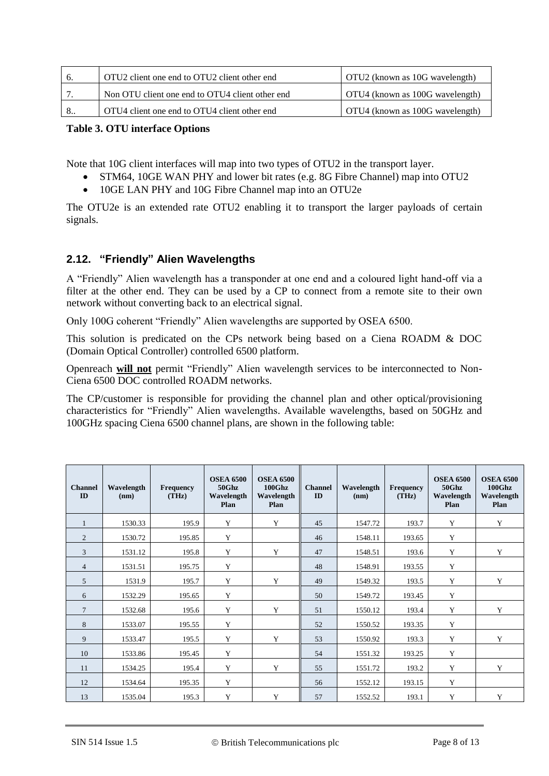|   | OTU2 client one end to OTU2 client other end    | OTU2 (known as 10G wavelength)  |
|---|-------------------------------------------------|---------------------------------|
|   | Non OTU client one end to OTU4 client other end | OTU4 (known as 100G wavelength) |
| 8 | OTU4 client one end to OTU4 client other end    | OTU4 (known as 100G wavelength) |

#### **Table 3. OTU interface Options**

Note that 10G client interfaces will map into two types of OTU2 in the transport layer.

- STM64, 10GE WAN PHY and lower bit rates (e.g. 8G Fibre Channel) map into OTU2
- 10GE LAN PHY and 10G Fibre Channel map into an OTU2e

The OTU2e is an extended rate OTU2 enabling it to transport the larger payloads of certain signals.

#### **2.12. "Friendly" Alien Wavelengths**

A "Friendly" Alien wavelength has a transponder at one end and a coloured light hand-off via a filter at the other end. They can be used by a CP to connect from a remote site to their own network without converting back to an electrical signal.

Only 100G coherent "Friendly" Alien wavelengths are supported by OSEA 6500.

This solution is predicated on the CPs network being based on a Ciena ROADM & DOC (Domain Optical Controller) controlled 6500 platform.

Openreach **will not** permit "Friendly" Alien wavelength services to be interconnected to Non-Ciena 6500 DOC controlled ROADM networks.

The CP/customer is responsible for providing the channel plan and other optical/provisioning characteristics for "Friendly" Alien wavelengths. Available wavelengths, based on 50GHz and 100GHz spacing Ciena 6500 channel plans, are shown in the following table:

| <b>Channel</b><br>ID | Wavelength<br>(nm) | <b>Frequency</b><br>(THz) | <b>OSEA 6500</b><br>50Ghz<br>Wavelength<br>Plan | <b>OSEA 6500</b><br>$100G$ hz<br>Wavelength<br>Plan | <b>Channel</b><br>ID | Wavelength<br>(nm) | Frequency<br>(THz) | <b>OSEA 6500</b><br>50Ghz<br>Wavelength<br>Plan | <b>OSEA 6500</b><br>100Ghz<br>Wavelength<br>Plan |
|----------------------|--------------------|---------------------------|-------------------------------------------------|-----------------------------------------------------|----------------------|--------------------|--------------------|-------------------------------------------------|--------------------------------------------------|
| 1                    | 1530.33            | 195.9                     | Y                                               | Y                                                   | 45                   | 1547.72            | 193.7              | Y                                               | Y                                                |
| $\overline{2}$       | 1530.72            | 195.85                    | Y                                               |                                                     | 46                   | 1548.11            | 193.65             | Y                                               |                                                  |
| 3                    | 1531.12            | 195.8                     | Y                                               | Y                                                   | 47                   | 1548.51            | 193.6              | Y                                               | Y                                                |
| $\overline{4}$       | 1531.51            | 195.75                    | Y                                               |                                                     | 48                   | 1548.91            | 193.55             | Y                                               |                                                  |
| 5                    | 1531.9             | 195.7                     | Y                                               | Y                                                   | 49                   | 1549.32            | 193.5              | Y                                               | Y                                                |
| 6                    | 1532.29            | 195.65                    | Y                                               |                                                     | 50                   | 1549.72            | 193.45             | Y                                               |                                                  |
| $7\phantom{.0}$      | 1532.68            | 195.6                     | Y                                               | Y                                                   | 51                   | 1550.12            | 193.4              | Y                                               | Y                                                |
| 8                    | 1533.07            | 195.55                    | Y                                               |                                                     | 52                   | 1550.52            | 193.35             | Y                                               |                                                  |
| 9                    | 1533.47            | 195.5                     | Y                                               | Y                                                   | 53                   | 1550.92            | 193.3              | Y                                               | Y                                                |
| 10                   | 1533.86            | 195.45                    | Y                                               |                                                     | 54                   | 1551.32            | 193.25             | Y                                               |                                                  |
| 11                   | 1534.25            | 195.4                     | Y                                               | Y                                                   | 55                   | 1551.72            | 193.2              | Y                                               | Y                                                |
| 12                   | 1534.64            | 195.35                    | Y                                               |                                                     | 56                   | 1552.12            | 193.15             | Y                                               |                                                  |
| 13                   | 1535.04            | 195.3                     | Y                                               | Y                                                   | 57                   | 1552.52            | 193.1              | Y                                               | Y                                                |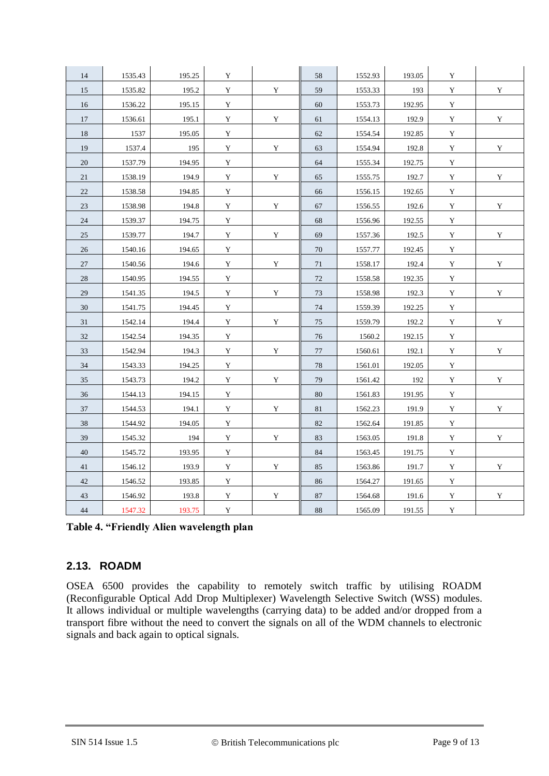| 14 | 1535.43 | 195.25 | Y           |             | 58     | 1552.93 | 193.05 | $\mathbf Y$ |             |
|----|---------|--------|-------------|-------------|--------|---------|--------|-------------|-------------|
| 15 | 1535.82 | 195.2  | Y           | Y           | 59     | 1553.33 | 193    | Y           | $\mathbf Y$ |
| 16 | 1536.22 | 195.15 | $\mathbf Y$ |             | 60     | 1553.73 | 192.95 | $\mathbf Y$ |             |
| 17 | 1536.61 | 195.1  | $\mathbf Y$ | Y           | 61     | 1554.13 | 192.9  | $\mathbf Y$ | $\mathbf Y$ |
| 18 | 1537    | 195.05 | $\mathbf Y$ |             | 62     | 1554.54 | 192.85 | $\mathbf Y$ |             |
| 19 | 1537.4  | 195    | $\mathbf Y$ | Y           | 63     | 1554.94 | 192.8  | $\mathbf Y$ | $\mathbf Y$ |
| 20 | 1537.79 | 194.95 | Y           |             | 64     | 1555.34 | 192.75 | Y           |             |
| 21 | 1538.19 | 194.9  | Y           | Y           | 65     | 1555.75 | 192.7  | $\mathbf Y$ | $\mathbf Y$ |
| 22 | 1538.58 | 194.85 | $\mathbf Y$ |             | 66     | 1556.15 | 192.65 | $\mathbf Y$ |             |
| 23 | 1538.98 | 194.8  | $\mathbf Y$ | $\mathbf Y$ | 67     | 1556.55 | 192.6  | $\mathbf Y$ | $\mathbf Y$ |
| 24 | 1539.37 | 194.75 | $\mathbf Y$ |             | 68     | 1556.96 | 192.55 | $\mathbf Y$ |             |
| 25 | 1539.77 | 194.7  | Y           | Y           | 69     | 1557.36 | 192.5  | Y           | $\mathbf Y$ |
| 26 | 1540.16 | 194.65 | $\mathbf Y$ |             | 70     | 1557.77 | 192.45 | $\mathbf Y$ |             |
| 27 | 1540.56 | 194.6  | Y           | $\mathbf Y$ | 71     | 1558.17 | 192.4  | $\mathbf Y$ | Y           |
| 28 | 1540.95 | 194.55 | $\mathbf Y$ |             | $72\,$ | 1558.58 | 192.35 | $\mathbf Y$ |             |
| 29 | 1541.35 | 194.5  | $\mathbf Y$ | Y           | 73     | 1558.98 | 192.3  | $\mathbf Y$ | $\mathbf Y$ |
| 30 | 1541.75 | 194.45 | Y           |             | 74     | 1559.39 | 192.25 | Y           |             |
| 31 | 1542.14 | 194.4  | $\mathbf Y$ | Y           | 75     | 1559.79 | 192.2  | $\mathbf Y$ | Y           |
| 32 | 1542.54 | 194.35 | $\mathbf Y$ |             | 76     | 1560.2  | 192.15 | $\mathbf Y$ |             |
| 33 | 1542.94 | 194.3  | $\mathbf Y$ | Y           | 77     | 1560.61 | 192.1  | $\mathbf Y$ | Y           |
| 34 | 1543.33 | 194.25 | $\mathbf Y$ |             | $78\,$ | 1561.01 | 192.05 | $\mathbf Y$ |             |
| 35 | 1543.73 | 194.2  | $\mathbf Y$ | Y           | 79     | 1561.42 | 192    | $\mathbf Y$ | Y           |
| 36 | 1544.13 | 194.15 | $\mathbf Y$ |             | 80     | 1561.83 | 191.95 | $\mathbf Y$ |             |
| 37 | 1544.53 | 194.1  | Y           | $\mathbf Y$ | 81     | 1562.23 | 191.9  | Y           | Y           |
| 38 | 1544.92 | 194.05 | $\mathbf Y$ |             | 82     | 1562.64 | 191.85 | $\mathbf Y$ |             |
| 39 | 1545.32 | 194    | $\mathbf Y$ | Y           | 83     | 1563.05 | 191.8  | $\mathbf Y$ | $\mathbf Y$ |
| 40 | 1545.72 | 193.95 | $\mathbf Y$ |             | 84     | 1563.45 | 191.75 | $\mathbf Y$ |             |
| 41 | 1546.12 | 193.9  | $\mathbf Y$ | Y           | 85     | 1563.86 | 191.7  | $\mathbf Y$ | Y           |
| 42 | 1546.52 | 193.85 | $\mathbf Y$ |             | 86     | 1564.27 | 191.65 | Y           |             |
| 43 | 1546.92 | 193.8  | $\mathbf Y$ | $\mathbf Y$ | 87     | 1564.68 | 191.6  | $\mathbf Y$ | Y           |
| 44 | 1547.32 | 193.75 | $\mathbf Y$ |             | 88     | 1565.09 | 191.55 | $\mathbf Y$ |             |

**Table 4. "Friendly Alien wavelength plan**

#### **2.13. ROADM**

OSEA 6500 provides the capability to remotely switch traffic by utilising ROADM (Reconfigurable Optical Add Drop Multiplexer) Wavelength Selective Switch (WSS) modules. It allows individual or multiple wavelengths (carrying data) to be added and/or dropped from a transport fibre without the need to convert the signals on all of the WDM channels to electronic signals and back again to optical signals.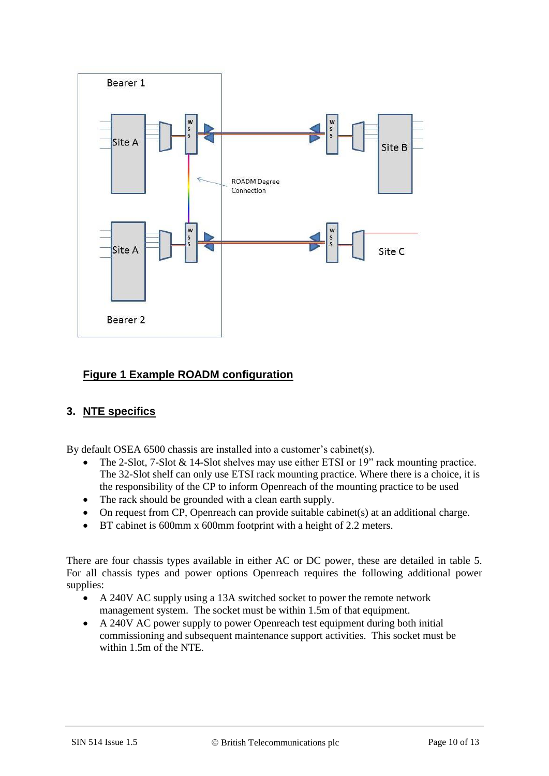

#### **Figure 1 Example ROADM configuration**

#### **3. NTE specifics**

By default OSEA 6500 chassis are installed into a customer's cabinet(s).

- The 2-Slot, 7-Slot & 14-Slot shelves may use either ETSI or 19" rack mounting practice. The 32-Slot shelf can only use ETSI rack mounting practice. Where there is a choice, it is the responsibility of the CP to inform Openreach of the mounting practice to be used
- The rack should be grounded with a clean earth supply.
- On request from CP, Openreach can provide suitable cabinet(s) at an additional charge.
- BT cabinet is 600mm x 600mm footprint with a height of 2.2 meters.

There are four chassis types available in either AC or DC power, these are detailed in table 5. For all chassis types and power options Openreach requires the following additional power supplies:

- A 240V AC supply using a 13A switched socket to power the remote network management system. The socket must be within 1.5m of that equipment.
- A 240V AC power supply to power Openreach test equipment during both initial commissioning and subsequent maintenance support activities. This socket must be within 1.5m of the NTE.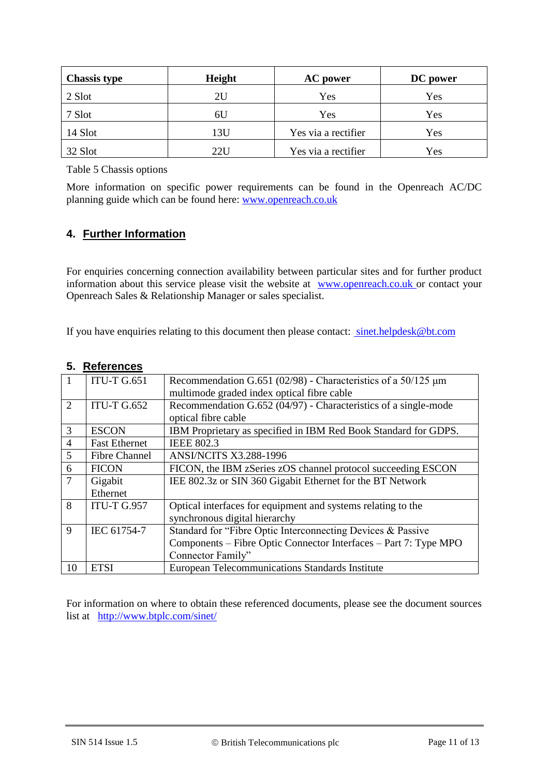| <b>Chassis type</b> | Height | <b>AC</b> power     | DC power |
|---------------------|--------|---------------------|----------|
| 2 Slot              | 2U     | Yes                 | Yes      |
| 7 Slot              | 6U     | Yes                 | Yes      |
| 14 Slot             | 13U    | Yes via a rectifier | Yes      |
| 32 Slot             | 22U    | Yes via a rectifier | Yes      |

Table 5 Chassis options

More information on specific power requirements can be found in the Openreach AC/DC planning guide which can be found here: [www.openreach.co.uk](http://www.openreach.co.uk/)

#### **4. Further Information**

For enquiries concerning connection availability between particular sites and for further product information about this service please visit the website at [www.openreach.co.uk](http://www.openreach.co.uk/) or contact your Openreach Sales & Relationship Manager or sales specialist.

If you have enquiries relating to this document then please contact: sinet.helpdesk@bt.com

#### **5. References**

| $\boxed{1}$    | <b>ITU-T G.651</b>   | Recommendation G.651 (02/98) - Characteristics of a $50/125 \mu m$<br>multimode graded index optical fibre cable |
|----------------|----------------------|------------------------------------------------------------------------------------------------------------------|
| $\overline{2}$ | <b>ITU-T G.652</b>   | Recommendation G.652 (04/97) - Characteristics of a single-mode<br>optical fibre cable                           |
| 3              | <b>ESCON</b>         | IBM Proprietary as specified in IBM Red Book Standard for GDPS.                                                  |
| $\overline{4}$ | <b>Fast Ethernet</b> | <b>IEEE 802.3</b>                                                                                                |
| 5              | <b>Fibre Channel</b> | <b>ANSI/NCITS X3.288-1996</b>                                                                                    |
| 6              | <b>FICON</b>         | FICON, the IBM zSeries zOS channel protocol succeeding ESCON                                                     |
| $\overline{7}$ | Gigabit              | IEE 802.3z or SIN 360 Gigabit Ethernet for the BT Network                                                        |
|                | Ethernet             |                                                                                                                  |
| 8              | <b>ITU-T G.957</b>   | Optical interfaces for equipment and systems relating to the                                                     |
|                |                      | synchronous digital hierarchy                                                                                    |
| 9              | IEC 61754-7          | Standard for "Fibre Optic Interconnecting Devices & Passive                                                      |
|                |                      | Components - Fibre Optic Connector Interfaces - Part 7: Type MPO                                                 |
|                |                      | Connector Family"                                                                                                |
| 10             | <b>ETSI</b>          | European Telecommunications Standards Institute                                                                  |

For information on where to obtain these referenced documents, please see the document sources list at <http://www.btplc.com/sinet/>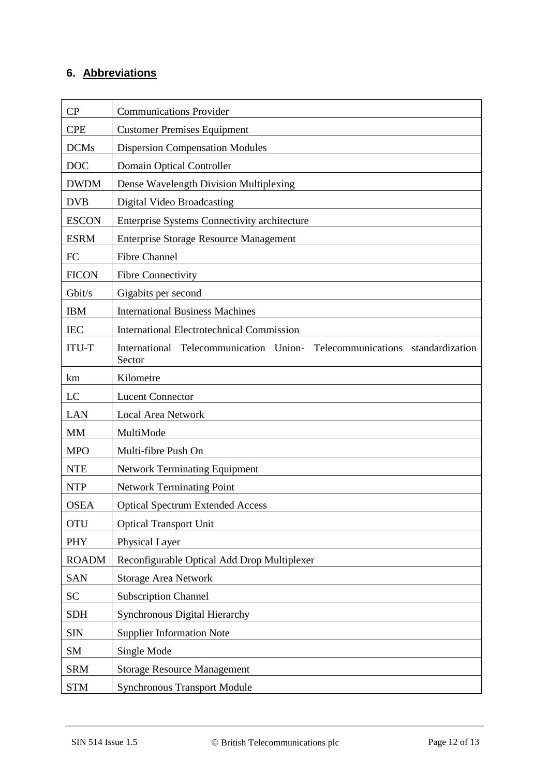## **6. Abbreviations**

| CP           | <b>Communications Provider</b>                                                      |  |  |  |  |
|--------------|-------------------------------------------------------------------------------------|--|--|--|--|
| <b>CPE</b>   | <b>Customer Premises Equipment</b>                                                  |  |  |  |  |
| <b>DCMs</b>  | <b>Dispersion Compensation Modules</b>                                              |  |  |  |  |
| <b>DOC</b>   | <b>Domain Optical Controller</b>                                                    |  |  |  |  |
| <b>DWDM</b>  | Dense Wavelength Division Multiplexing                                              |  |  |  |  |
| <b>DVB</b>   | Digital Video Broadcasting                                                          |  |  |  |  |
| <b>ESCON</b> | <b>Enterprise Systems Connectivity architecture</b>                                 |  |  |  |  |
| <b>ESRM</b>  | <b>Enterprise Storage Resource Management</b>                                       |  |  |  |  |
| FC           | <b>Fibre Channel</b>                                                                |  |  |  |  |
| <b>FICON</b> | <b>Fibre Connectivity</b>                                                           |  |  |  |  |
| Gbit/s       | Gigabits per second                                                                 |  |  |  |  |
| <b>IBM</b>   | <b>International Business Machines</b>                                              |  |  |  |  |
| <b>IEC</b>   | <b>International Electrotechnical Commission</b>                                    |  |  |  |  |
| <b>ITU-T</b> | International Telecommunication Union- Telecommunications standardization<br>Sector |  |  |  |  |
| km           | Kilometre                                                                           |  |  |  |  |
| LC           | <b>Lucent Connector</b>                                                             |  |  |  |  |
| <b>LAN</b>   | <b>Local Area Network</b>                                                           |  |  |  |  |
| MM           | MultiMode                                                                           |  |  |  |  |
| <b>MPO</b>   | Multi-fibre Push On                                                                 |  |  |  |  |
| <b>NTE</b>   | <b>Network Terminating Equipment</b>                                                |  |  |  |  |
| <b>NTP</b>   | <b>Network Terminating Point</b>                                                    |  |  |  |  |
| <b>OSEA</b>  | <b>Optical Spectrum Extended Access</b>                                             |  |  |  |  |
| <b>OTU</b>   | <b>Optical Transport Unit</b>                                                       |  |  |  |  |
| <b>PHY</b>   | Physical Layer                                                                      |  |  |  |  |
| <b>ROADM</b> | Reconfigurable Optical Add Drop Multiplexer                                         |  |  |  |  |
| <b>SAN</b>   | <b>Storage Area Network</b>                                                         |  |  |  |  |
| <b>SC</b>    | <b>Subscription Channel</b>                                                         |  |  |  |  |
| <b>SDH</b>   | Synchronous Digital Hierarchy                                                       |  |  |  |  |
| <b>SIN</b>   | <b>Supplier Information Note</b>                                                    |  |  |  |  |
| SM           | Single Mode                                                                         |  |  |  |  |
| <b>SRM</b>   | <b>Storage Resource Management</b>                                                  |  |  |  |  |
| <b>STM</b>   | <b>Synchronous Transport Module</b>                                                 |  |  |  |  |